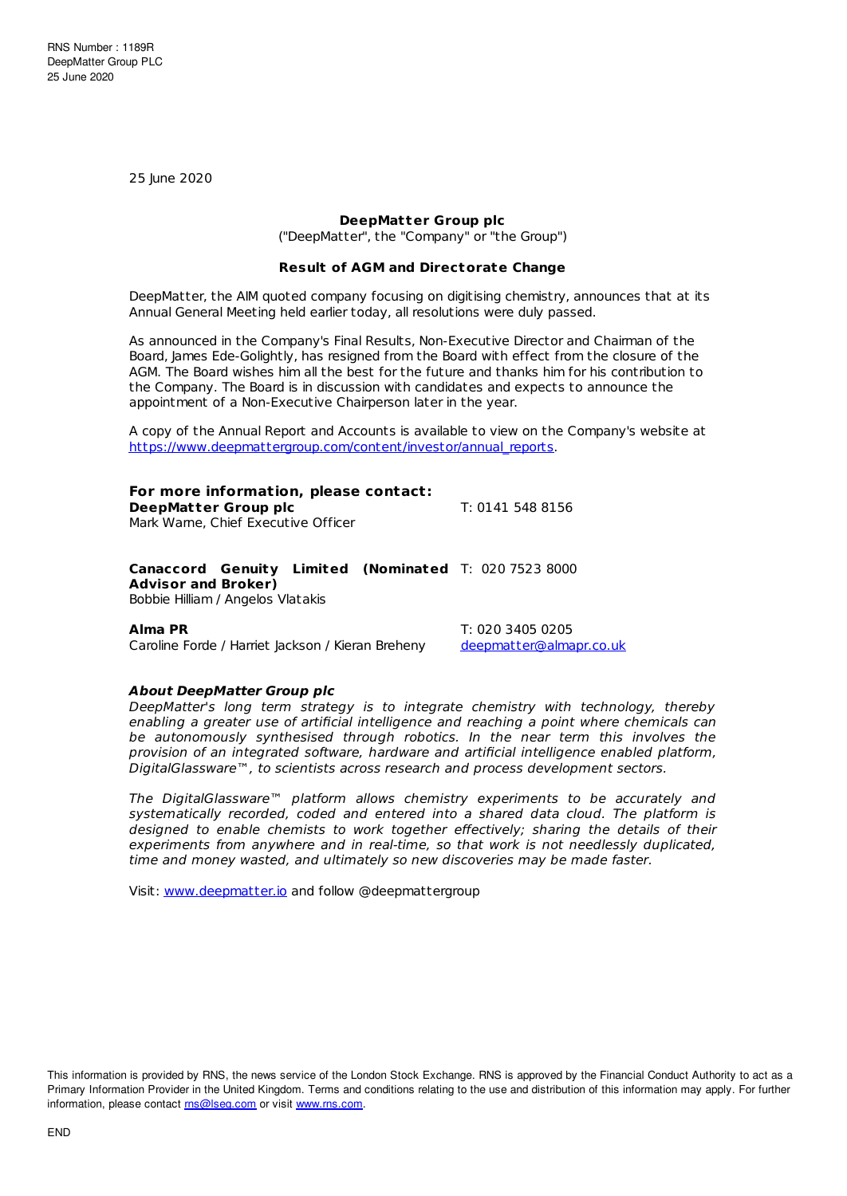25 June 2020

## **DeepMatter Group plc**

("DeepMatter", the "Company" or "the Group")

## **Result of AGM and Directorate Change**

DeepMatter, the AIM quoted company focusing on digitising chemistry, announces that at its Annual General Meeting held earlier today, all resolutions were duly passed.

As announced in the Company's Final Results, Non-Executive Director and Chairman of the Board, James Ede-Golightly, has resigned from the Board with effect from the closure of the AGM. The Board wishes him all the best for the future and thanks him for his contribution to the Company. The Board is in discussion with candidates and expects to announce the appointment of a Non-Executive Chairperson later in the year.

A copy of the Annual Report and Accounts is available to view on the Company's website at [https://www.deepmattergroup.com/content/investor/annual\\_reports](https://www.deepmattergroup.com/content/investor/annual_reports).

# **For more information, please contact:**

**DeepMatter Group plc** T: 0141 548 8156 Mark Warne, Chief Executive Officer

### **Canaccord Genuity Limited (Nominated** T: 020 7523 8000 **Advisor and Broker)** Bobbie Hilliam / Angelos Vlatakis

Caroline Forde / Harriet Jackson / Kieran Breheny [deepmatter@almapr.co.uk](mailto:deepmatter@almapr.co.uk)

**Alma PR** T: 020 3405 0205

# **About DeepMatter Group plc**

DeepMatter's long term strategy is to integrate chemistry with technology, thereby enabling a greater use of artificial intelligence and reaching a point where chemicals can be autonomously synthesised through robotics. In the near term this involves the provision of an integrated software, hardware and artificial intelligence enabled platform, DigitalGlassware™, to scientists across research and process development sectors.

The DigitalGlassware™ platform allows chemistry experiments to be accurately and systematically recorded, coded and entered into a shared data cloud. The platform is designed to enable chemists to work together effectively; sharing the details of their experiments from anywhere and in real-time, so that work is not needlessly duplicated, time and money wasted, and ultimately so new discoveries may be made faster.

Visit: [www.deepmatter.io](https://www.deepmatter.io/) and follow @deepmattergroup

This information is provided by RNS, the news service of the London Stock Exchange. RNS is approved by the Financial Conduct Authority to act as a Primary Information Provider in the United Kingdom. Terms and conditions relating to the use and distribution of this information may apply. For further information, please contact [rns@lseg.com](mailto:rns@lseg.com) or visit [www.rns.com](http://www.rns.com/).